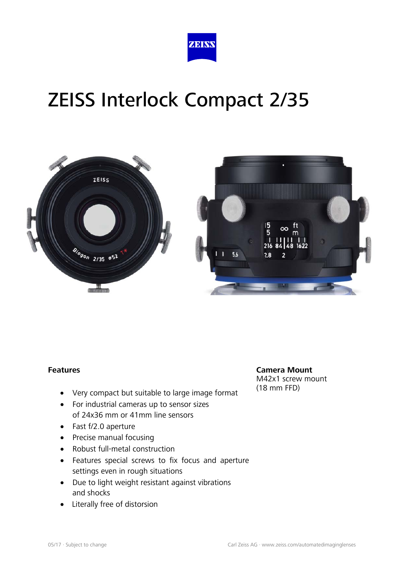



#### **Features**

- Very compact but suitable to large image format
- For industrial cameras up to sensor sizes of 24x36 mm or 41mm line sensors
- Fast f/2.0 aperture
- Precise manual focusing
- Robust full-metal construction
- Features special screws to fix focus and aperture settings even in rough situations
- Due to light weight resistant against vibrations and shocks
- Literally free of distorsion

**Camera Mount** M42x1 screw mount (18 mm FFD)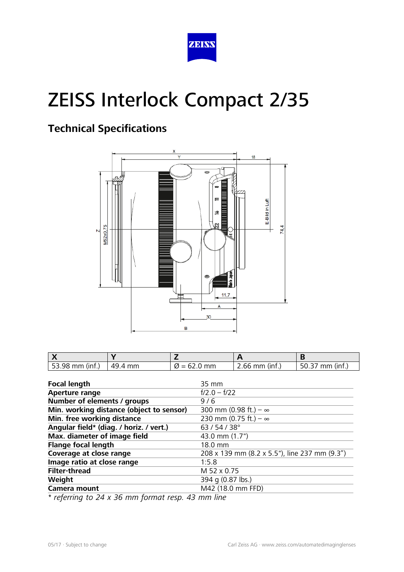

## **Technical Specifications**



| $\frac{1}{2}$ 53.98 mm (inf.) | 49.4 mm | $\varnothing$ = 62.0 mm | $2.66$ mm (inf.) | 50.37 mm (inf.) |
|-------------------------------|---------|-------------------------|------------------|-----------------|

| <b>Focal length</b>                      | 35 mm                                         |  |
|------------------------------------------|-----------------------------------------------|--|
| <b>Aperture range</b>                    | $f/2.0 - f/22$                                |  |
| Number of elements / groups              | $9/6$                                         |  |
| Min. working distance (object to sensor) | 300 mm (0.98 ft.) – $\infty$                  |  |
| Min. free working distance               | 230 mm (0.75 ft.) – $\infty$                  |  |
| Angular field* (diag. / horiz. / vert.)  | 63/54/38°                                     |  |
| Max. diameter of image field             | 43.0 mm (1.7")                                |  |
| <b>Flange focal length</b>               | 18.0 mm                                       |  |
| Coverage at close range                  | 208 x 139 mm (8.2 x 5.5"), line 237 mm (9.3") |  |
| Image ratio at close range               | 1:5.8                                         |  |
| <b>Filter-thread</b>                     | M 52 x 0.75                                   |  |
| Weight                                   | 394 g (0.87 lbs.)                             |  |
| <b>Camera mount</b>                      | M42 (18.0 mm FFD)                             |  |

*\* referring to 24 x 36 mm format resp. 43 mm line*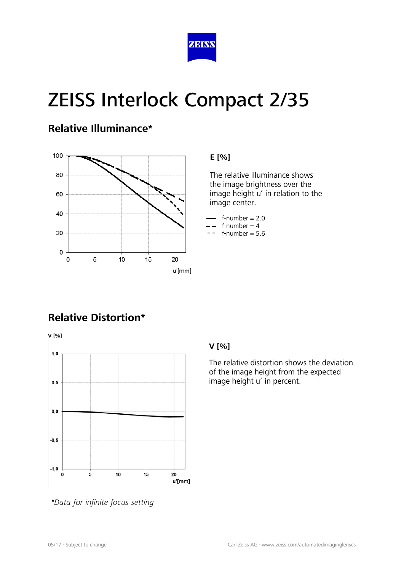

### **Relative Illuminance\***



#### **E [%]**

 The relative illuminance shows the image brightness over the image height u' in relation to the image center.

- $f$ -number = 2.0
- $f$ -number = 4
- $f$ -number = 5.6

## **Relative Distortion\***



*\*Data for infinite focus setting*

#### **V [%]**

The relative distortion shows the deviation of the image height from the expected image height u' in percent.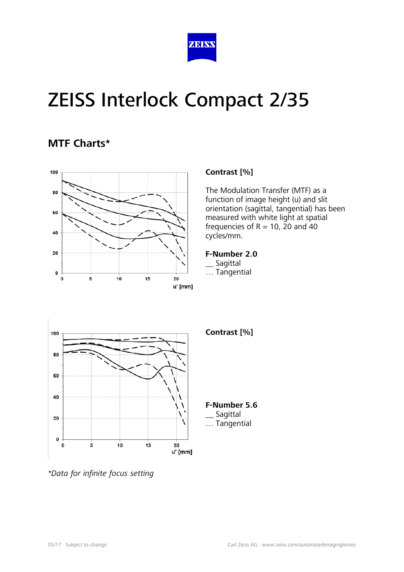

### **MTF Charts\***



#### **Contrast [%]**

The Modulation Transfer (MTF) as a function of image height (u) and slit orientation (sagittal, tangential) has been measured with white light at spatial frequencies of  $R = 10$ , 20 and 40 cycles/mm.

#### **F-Number 2.0**

- \_\_ Sagittal
- … Tangential



*\*Data for infinite focus setting*

#### **Contrast [%]**

**F-Number 5.6 Sagittal** … Tangential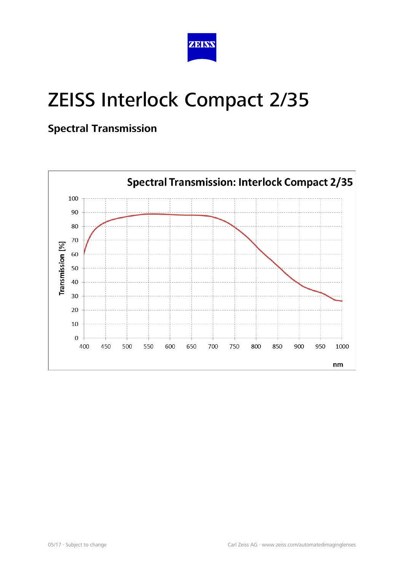

## **Spectral Transmission**